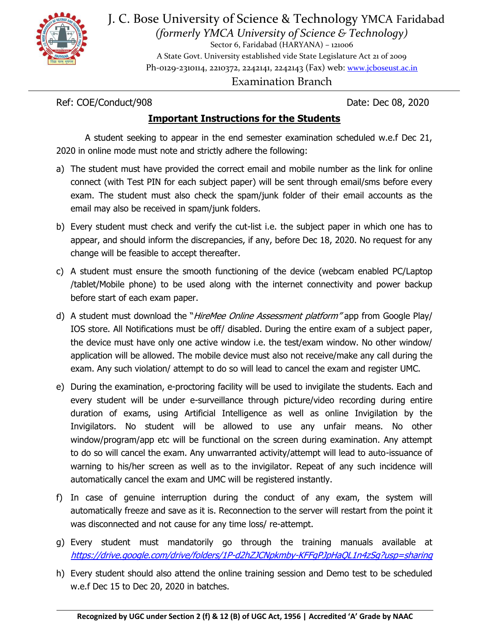

J. C. Bose University of Science & Technology YMCA Faridabad *(formerly YMCA University of Science & Technology)* 

Sector 6, Faridabad (HARYANA) – 121006 A State Govt. University established vide State Legislature Act 21 of 2009 Ph-0129-2310114, 2210372, 2242141, 2242143 (Fax) web: [www.jcboseust.ac.in](http://www.jcboseust.ac.in/) Examination Branch

Ref: COE/Conduct/908 Date: Dec 08, 2020

## **Important Instructions for the Students**

A student seeking to appear in the end semester examination scheduled w.e.f Dec 21, 2020 in online mode must note and strictly adhere the following:

- a) The student must have provided the correct email and mobile number as the link for online connect (with Test PIN for each subject paper) will be sent through email/sms before every exam. The student must also check the spam/junk folder of their email accounts as the email may also be received in spam/junk folders.
- b) Every student must check and verify the cut-list i.e. the subject paper in which one has to appear, and should inform the discrepancies, if any, before Dec 18, 2020. No request for any change will be feasible to accept thereafter.
- c) A student must ensure the smooth functioning of the device (webcam enabled PC/Laptop /tablet/Mobile phone) to be used along with the internet connectivity and power backup before start of each exam paper.
- d) A student must download the "*HireMee Online Assessment platform*" app from Google Play/ IOS store. All Notifications must be off/ disabled. During the entire exam of a subject paper, the device must have only one active window i.e. the test/exam window. No other window/ application will be allowed. The mobile device must also not receive/make any call during the exam. Any such violation/ attempt to do so will lead to cancel the exam and register UMC.
- e) During the examination, e-proctoring facility will be used to invigilate the students. Each and every student will be under e-surveillance through picture/video recording during entire duration of exams, using Artificial Intelligence as well as online Invigilation by the Invigilators. No student will be allowed to use any unfair means. No other window/program/app etc will be functional on the screen during examination. Any attempt to do so will cancel the exam. Any unwarranted activity/attempt will lead to auto-issuance of warning to his/her screen as well as to the invigilator. Repeat of any such incidence will automatically cancel the exam and UMC will be registered instantly.
- f) In case of genuine interruption during the conduct of any exam, the system will automatically freeze and save as it is. Reconnection to the server will restart from the point it was disconnected and not cause for any time loss/ re-attempt.
- g) Every student must mandatorily go through the training manuals available at <https://drive.google.com/drive/folders/1P-d2hZJCNpkmby-KFFgPJpHaQL1n4zSg?usp=sharing>
- h) Every student should also attend the online training session and Demo test to be scheduled w.e.f Dec 15 to Dec 20, 2020 in batches.